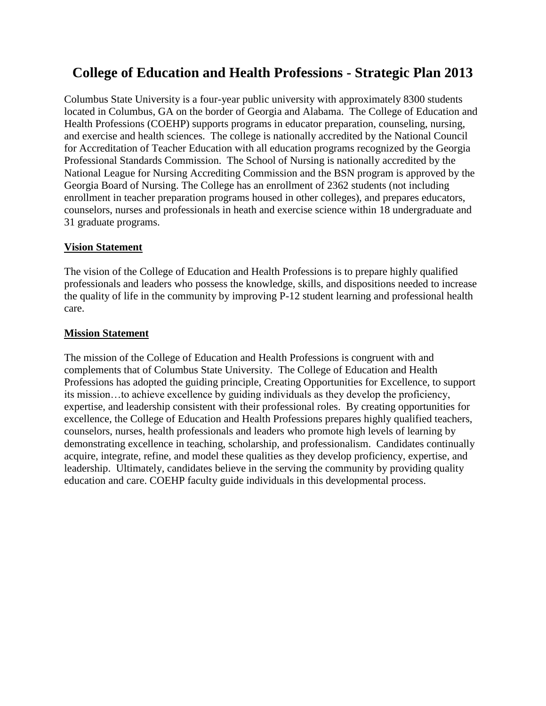# **College of Education and Health Professions - Strategic Plan 2013**

Columbus State University is a four-year public university with approximately 8300 students located in Columbus, GA on the border of Georgia and Alabama. The College of Education and Health Professions (COEHP) supports programs in educator preparation, counseling, nursing, and exercise and health sciences. The college is nationally accredited by the National Council for Accreditation of Teacher Education with all education programs recognized by the Georgia Professional Standards Commission. The School of Nursing is nationally accredited by the National League for Nursing Accrediting Commission and the BSN program is approved by the Georgia Board of Nursing. The College has an enrollment of 2362 students (not including enrollment in teacher preparation programs housed in other colleges), and prepares educators, counselors, nurses and professionals in heath and exercise science within 18 undergraduate and 31 graduate programs.

# **Vision Statement**

The vision of the College of Education and Health Professions is to prepare highly qualified professionals and leaders who possess the knowledge, skills, and dispositions needed to increase the quality of life in the community by improving P-12 student learning and professional health care.

# **Mission Statement**

The mission of the College of Education and Health Professions is congruent with and complements that of Columbus State University. The College of Education and Health Professions has adopted the guiding principle, Creating Opportunities for Excellence, to support its mission…to achieve excellence by guiding individuals as they develop the proficiency, expertise, and leadership consistent with their professional roles. By creating opportunities for excellence, the College of Education and Health Professions prepares highly qualified teachers, counselors, nurses, health professionals and leaders who promote high levels of learning by demonstrating excellence in teaching, scholarship, and professionalism. Candidates continually acquire, integrate, refine, and model these qualities as they develop proficiency, expertise, and leadership. Ultimately, candidates believe in the serving the community by providing quality education and care. COEHP faculty guide individuals in this developmental process.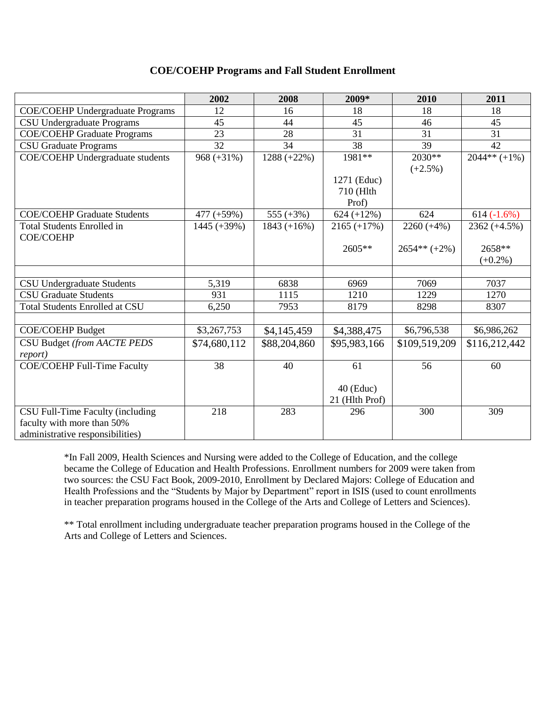#### **COE/COEHP Programs and Fall Student Enrollment**

|                                         | 2002           | 2008                      | 2009*          | 2010           | 2011                       |
|-----------------------------------------|----------------|---------------------------|----------------|----------------|----------------------------|
| <b>COE/COEHP Undergraduate Programs</b> | 12             | 16                        | 18             | 18             | 18                         |
| <b>CSU Undergraduate Programs</b>       | 45             | 44                        | 45             | 46             | 45                         |
| <b>COE/COEHP Graduate Programs</b>      | 23             | 28                        | 31             | 31             | 31                         |
| <b>CSU Graduate Programs</b>            | 32             | 34                        | 38             | 39             | 42                         |
| <b>COE/COEHP</b> Undergraduate students | $968 (+31\%)$  | $\overline{1288 (+22\%)}$ | 1981**         | 2030**         | $\overline{20}44** (+1\%)$ |
|                                         |                |                           |                | $(+2.5%)$      |                            |
|                                         |                |                           | 1271 (Educ)    |                |                            |
|                                         |                |                           | 710 (Hlth      |                |                            |
|                                         |                |                           | Prof)          |                |                            |
| <b>COE/COEHP Graduate Students</b>      | $477 (+59%)$   | 555 $(+3%)$               | $624 (+12%)$   | 624            | $614(-1.6%)$               |
| <b>Total Students Enrolled in</b>       | $1445 (+39\%)$ | $1843 (+16%)$             | $2165 (+17%)$  | $2260 (+4%)$   | $2362 (+4.5%)$             |
| <b>COE/COEHP</b>                        |                |                           |                |                |                            |
|                                         |                |                           | 2605**         | $2654** (+2%)$ | 2658**                     |
|                                         |                |                           |                |                | $(+0.2\%)$                 |
|                                         |                |                           |                |                |                            |
| <b>CSU Undergraduate Students</b>       | 5,319          | 6838                      | 6969           | 7069           | 7037                       |
| <b>CSU Graduate Students</b>            | 931            | 1115                      | 1210           | 1229           | 1270                       |
| <b>Total Students Enrolled at CSU</b>   | 6,250          | 7953                      | 8179           | 8298           | 8307                       |
|                                         |                |                           |                |                |                            |
| <b>COE/COEHP Budget</b>                 | \$3,267,753    | \$4,145,459               | \$4,388,475    | \$6,796,538    | \$6,986,262                |
| CSU Budget (from AACTE PEDS             | \$74,680,112   | \$88,204,860              | \$95,983,166   | \$109,519,209  | \$116,212,442              |
| <i>report</i> )                         |                |                           |                |                |                            |
| <b>COE/COEHP Full-Time Faculty</b>      | 38             | 40                        | 61             | 56             | 60                         |
|                                         |                |                           |                |                |                            |
|                                         |                |                           | $40$ (Educ)    |                |                            |
|                                         |                |                           | 21 (Hlth Prof) |                |                            |
| CSU Full-Time Faculty (including        | 218            | 283                       | 296            | 300            | 309                        |
| faculty with more than 50%              |                |                           |                |                |                            |
| administrative responsibilities)        |                |                           |                |                |                            |

\*In Fall 2009, Health Sciences and Nursing were added to the College of Education, and the college became the College of Education and Health Professions. Enrollment numbers for 2009 were taken from two sources: the CSU Fact Book, 2009-2010, Enrollment by Declared Majors: College of Education and Health Professions and the "Students by Major by Department" report in ISIS (used to count enrollments in teacher preparation programs housed in the College of the Arts and College of Letters and Sciences).

\*\* Total enrollment including undergraduate teacher preparation programs housed in the College of the Arts and College of Letters and Sciences.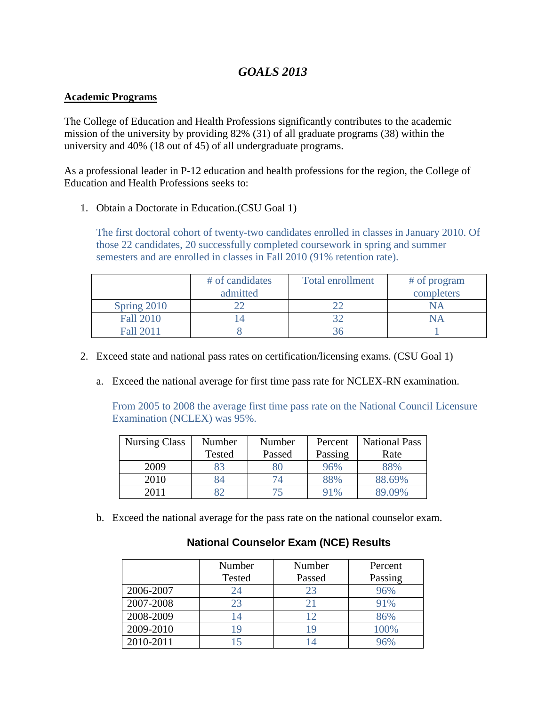# *GOALS 2013*

# **Academic Programs**

The College of Education and Health Professions significantly contributes to the academic mission of the university by providing 82% (31) of all graduate programs (38) within the university and 40% (18 out of 45) of all undergraduate programs.

As a professional leader in P-12 education and health professions for the region, the College of Education and Health Professions seeks to:

1. Obtain a Doctorate in Education.(CSU Goal 1)

The first doctoral cohort of twenty-two candidates enrolled in classes in January 2010. Of those 22 candidates, 20 successfully completed coursework in spring and summer semesters and are enrolled in classes in Fall 2010 (91% retention rate).

|                  | # of candidates<br>admitted | <b>Total enrollment</b> | # of program<br>completers |
|------------------|-----------------------------|-------------------------|----------------------------|
| Spring 2010      |                             |                         |                            |
| <b>Fall 2010</b> |                             |                         |                            |
| Fall 2011        |                             |                         |                            |

- 2. Exceed state and national pass rates on certification/licensing exams. (CSU Goal 1)
	- a. Exceed the national average for first time pass rate for NCLEX-RN examination.

From 2005 to 2008 the average first time pass rate on the National Council Licensure Examination (NCLEX) was 95%.

| <b>Nursing Class</b> | Number | Number | Percent | <b>National Pass</b> |
|----------------------|--------|--------|---------|----------------------|
|                      | Tested | Passed | Passing | Rate                 |
| 2009                 | 83     | 80     | 96%     | 88%                  |
| 2010                 | 84     |        | 88%     | 88.69%               |
| 2011                 |        |        | 91%     | 89.09%               |

b. Exceed the national average for the pass rate on the national counselor exam.

# **National Counselor Exam (NCE) Results**

|           | Number        | Number | Percent |
|-----------|---------------|--------|---------|
|           | <b>Tested</b> | Passed | Passing |
| 2006-2007 | 24            | 23     | 96%     |
| 2007-2008 | 23            | 21     | 91%     |
| 2008-2009 |               | 12     | 86%     |
| 2009-2010 | 19            | 19     | 100%    |
| 2010-2011 |               |        | 36%     |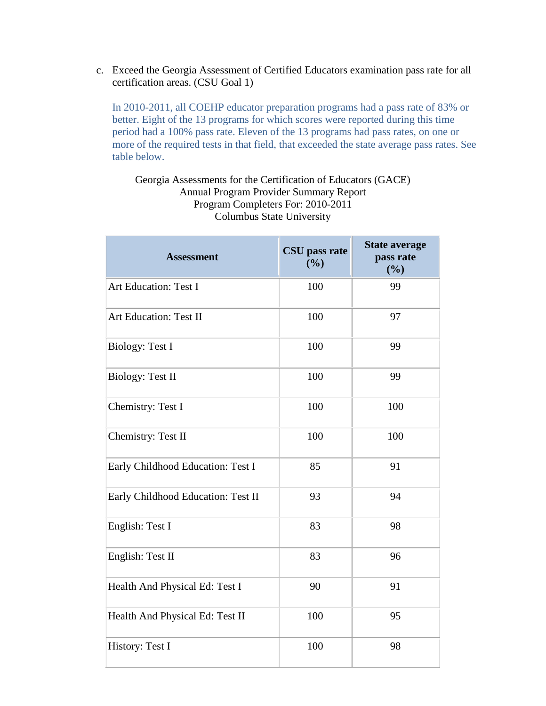c. Exceed the Georgia Assessment of Certified Educators examination pass rate for all certification areas. (CSU Goal 1)

In 2010-2011, all COEHP educator preparation programs had a pass rate of 83% or better. Eight of the 13 programs for which scores were reported during this time period had a 100% pass rate. Eleven of the 13 programs had pass rates, on one or more of the required tests in that field, that exceeded the state average pass rates. See table below.

## Georgia Assessments for the Certification of Educators (GACE) Annual Program Provider Summary Report Program Completers For: 2010-2011 Columbus State University

| <b>Assessment</b>                  | CSU pass rate<br>(%) | <b>State average</b><br>pass rate<br>(%) |
|------------------------------------|----------------------|------------------------------------------|
| <b>Art Education: Test I</b>       | 100                  | 99                                       |
| Art Education: Test II             | 100                  | 97                                       |
| <b>Biology: Test I</b>             | 100                  | 99                                       |
| <b>Biology: Test II</b>            | 100                  | 99                                       |
| Chemistry: Test I                  | 100                  | 100                                      |
| Chemistry: Test II                 | 100                  | 100                                      |
| Early Childhood Education: Test I  | 85                   | 91                                       |
| Early Childhood Education: Test II | 93                   | 94                                       |
| English: Test I                    | 83                   | 98                                       |
| English: Test II                   | 83                   | 96                                       |
| Health And Physical Ed: Test I     | 90                   | 91                                       |
| Health And Physical Ed: Test II    | 100                  | 95                                       |
| History: Test I                    | 100                  | 98                                       |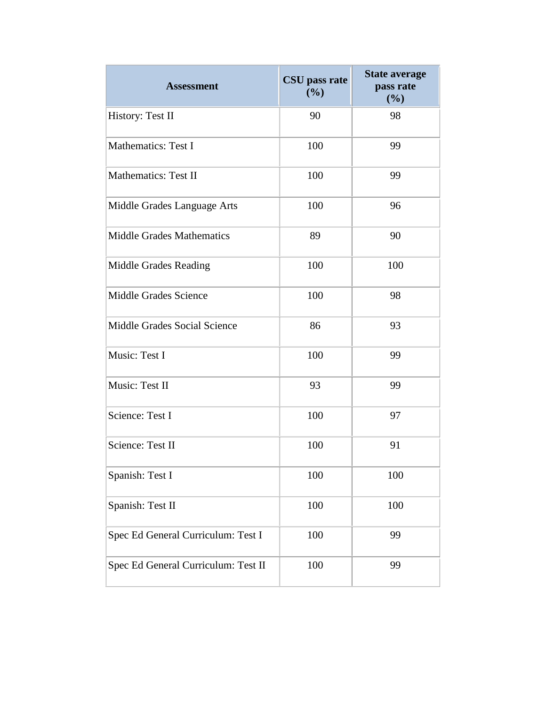| <b>Assessment</b>                   | CSU pass rate<br>(%) | <b>State average</b><br>pass rate<br>(%) |
|-------------------------------------|----------------------|------------------------------------------|
| History: Test II                    | 90                   | 98                                       |
| <b>Mathematics: Test I</b>          | 100                  | 99                                       |
| <b>Mathematics: Test II</b>         | 100                  | 99                                       |
| Middle Grades Language Arts         | 100                  | 96                                       |
| <b>Middle Grades Mathematics</b>    | 89                   | 90                                       |
| Middle Grades Reading               | 100                  | 100                                      |
| <b>Middle Grades Science</b>        | 100                  | 98                                       |
| Middle Grades Social Science        | 86                   | 93                                       |
| Music: Test I                       | 100                  | 99                                       |
| Music: Test II                      | 93                   | 99                                       |
| Science: Test I                     | 100                  | 97                                       |
| Science: Test II                    | 100                  | 91                                       |
| Spanish: Test I                     | 100                  | 100                                      |
| Spanish: Test II                    | 100                  | 100                                      |
| Spec Ed General Curriculum: Test I  | 100                  | 99                                       |
| Spec Ed General Curriculum: Test II | 100                  | 99                                       |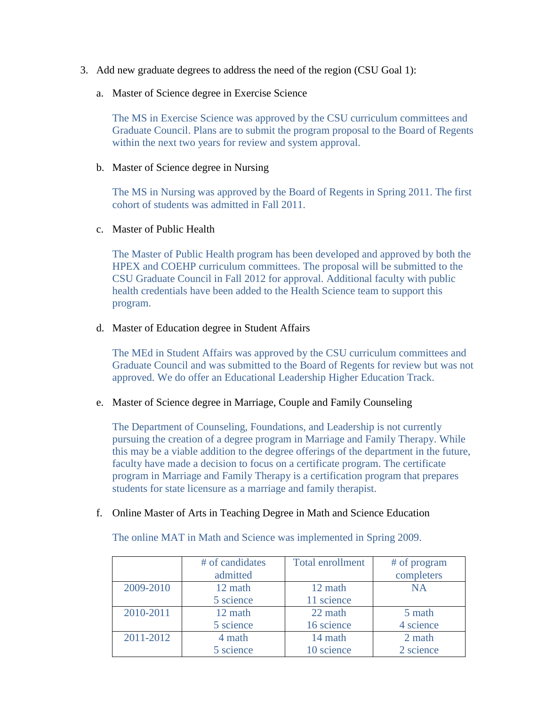- 3. Add new graduate degrees to address the need of the region (CSU Goal 1):
	- a. Master of Science degree in Exercise Science

The MS in Exercise Science was approved by the CSU curriculum committees and Graduate Council. Plans are to submit the program proposal to the Board of Regents within the next two years for review and system approval.

#### b. Master of Science degree in Nursing

The MS in Nursing was approved by the Board of Regents in Spring 2011. The first cohort of students was admitted in Fall 2011.

#### c. Master of Public Health

The Master of Public Health program has been developed and approved by both the HPEX and COEHP curriculum committees. The proposal will be submitted to the CSU Graduate Council in Fall 2012 for approval. Additional faculty with public health credentials have been added to the Health Science team to support this program.

#### d. Master of Education degree in Student Affairs

The MEd in Student Affairs was approved by the CSU curriculum committees and Graduate Council and was submitted to the Board of Regents for review but was not approved. We do offer an Educational Leadership Higher Education Track.

#### e. Master of Science degree in Marriage, Couple and Family Counseling

The Department of Counseling, Foundations, and Leadership is not currently pursuing the creation of a degree program in Marriage and Family Therapy. While this may be a viable addition to the degree offerings of the department in the future, faculty have made a decision to focus on a certificate program. The certificate program in Marriage and Family Therapy is a certification program that prepares students for state licensure as a marriage and family therapist.

#### f. Online Master of Arts in Teaching Degree in Math and Science Education

The online MAT in Math and Science was implemented in Spring 2009.

|           | # of candidates<br>admitted | <b>Total enrollment</b> | # of program<br>completers |
|-----------|-----------------------------|-------------------------|----------------------------|
| 2009-2010 | 12 math                     | 12 math                 | <b>NA</b>                  |
|           | 5 science                   | 11 science              |                            |
| 2010-2011 | 12 math                     | 22 math                 | 5 math                     |
|           | 5 science                   | 16 science              | 4 science                  |
| 2011-2012 | 4 math                      | 14 math                 | 2 math                     |
|           | 5 science                   | 10 science              | 2 science                  |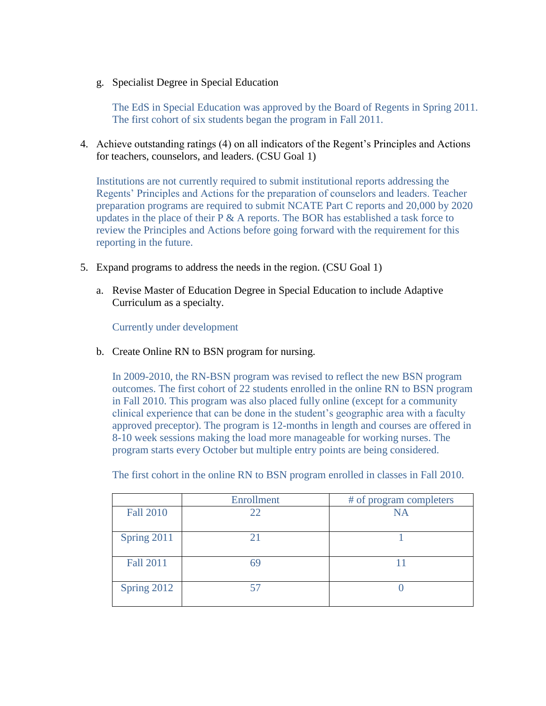g. Specialist Degree in Special Education

The EdS in Special Education was approved by the Board of Regents in Spring 2011. The first cohort of six students began the program in Fall 2011.

4. Achieve outstanding ratings (4) on all indicators of the Regent's Principles and Actions for teachers, counselors, and leaders. (CSU Goal 1)

Institutions are not currently required to submit institutional reports addressing the Regents' Principles and Actions for the preparation of counselors and leaders. Teacher preparation programs are required to submit NCATE Part C reports and 20,000 by 2020 updates in the place of their  $P \& A$  reports. The BOR has established a task force to review the Principles and Actions before going forward with the requirement for this reporting in the future.

- 5. Expand programs to address the needs in the region. (CSU Goal 1)
	- a. Revise Master of Education Degree in Special Education to include Adaptive Curriculum as a specialty.

Currently under development

b. Create Online RN to BSN program for nursing.

In 2009-2010, the RN-BSN program was revised to reflect the new BSN program outcomes. The first cohort of 22 students enrolled in the online RN to BSN program in Fall 2010. This program was also placed fully online (except for a community clinical experience that can be done in the student's geographic area with a faculty approved preceptor). The program is 12-months in length and courses are offered in 8-10 week sessions making the load more manageable for working nurses. The program starts every October but multiple entry points are being considered.

|                  | Enrollment | # of program completers |
|------------------|------------|-------------------------|
| <b>Fall 2010</b> | 22         | NA                      |
| Spring 2011      |            |                         |
| <b>Fall 2011</b> | 69         |                         |
| Spring 2012      |            |                         |

The first cohort in the online RN to BSN program enrolled in classes in Fall 2010.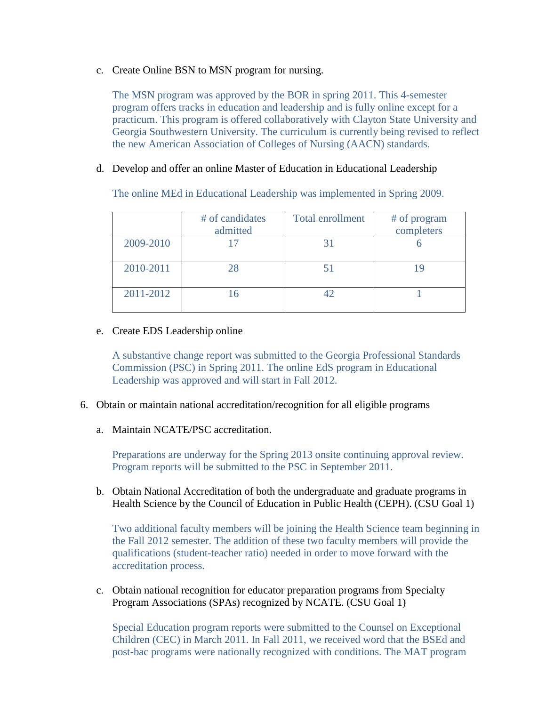c. Create Online BSN to MSN program for nursing.

The MSN program was approved by the BOR in spring 2011. This 4-semester program offers tracks in education and leadership and is fully online except for a practicum. This program is offered collaboratively with Clayton State University and Georgia Southwestern University. The curriculum is currently being revised to reflect the new American Association of Colleges of Nursing (AACN) standards.

d. Develop and offer an online Master of Education in Educational Leadership

The online MEd in Educational Leadership was implemented in Spring 2009.

|           | # of candidates<br>admitted | Total enrollment | # of program<br>completers |
|-----------|-----------------------------|------------------|----------------------------|
| 2009-2010 |                             |                  |                            |
| 2010-2011 |                             |                  |                            |
| 2011-2012 |                             | 42               |                            |

# e. Create EDS Leadership online

A substantive change report was submitted to the Georgia Professional Standards Commission (PSC) in Spring 2011. The online EdS program in Educational Leadership was approved and will start in Fall 2012.

- 6. Obtain or maintain national accreditation/recognition for all eligible programs
	- a. Maintain NCATE/PSC accreditation.

Preparations are underway for the Spring 2013 onsite continuing approval review. Program reports will be submitted to the PSC in September 2011.

b. Obtain National Accreditation of both the undergraduate and graduate programs in Health Science by the Council of Education in Public Health (CEPH). (CSU Goal 1)

Two additional faculty members will be joining the Health Science team beginning in the Fall 2012 semester. The addition of these two faculty members will provide the qualifications (student-teacher ratio) needed in order to move forward with the accreditation process.

c. Obtain national recognition for educator preparation programs from Specialty Program Associations (SPAs) recognized by NCATE. (CSU Goal 1)

Special Education program reports were submitted to the Counsel on Exceptional Children (CEC) in March 2011. In Fall 2011, we received word that the BSEd and post-bac programs were nationally recognized with conditions. The MAT program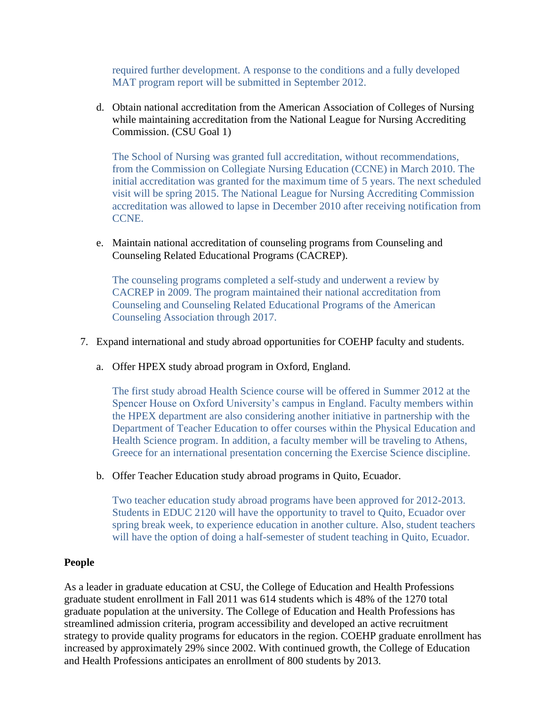required further development. A response to the conditions and a fully developed MAT program report will be submitted in September 2012.

d. Obtain national accreditation from the American Association of Colleges of Nursing while maintaining accreditation from the National League for Nursing Accrediting Commission. (CSU Goal 1)

The School of Nursing was granted full accreditation, without recommendations, from the Commission on Collegiate Nursing Education (CCNE) in March 2010. The initial accreditation was granted for the maximum time of 5 years. The next scheduled visit will be spring 2015. The National League for Nursing Accrediting Commission accreditation was allowed to lapse in December 2010 after receiving notification from CCNE.

e. Maintain national accreditation of counseling programs from Counseling and Counseling Related Educational Programs (CACREP).

The counseling programs completed a self-study and underwent a review by CACREP in 2009. The program maintained their national accreditation from Counseling and Counseling Related Educational Programs of the American Counseling Association through 2017.

- 7. Expand international and study abroad opportunities for COEHP faculty and students.
	- a. Offer HPEX study abroad program in Oxford, England.

The first study abroad Health Science course will be offered in Summer 2012 at the Spencer House on Oxford University's campus in England. Faculty members within the HPEX department are also considering another initiative in partnership with the Department of Teacher Education to offer courses within the Physical Education and Health Science program. In addition, a faculty member will be traveling to Athens, Greece for an international presentation concerning the Exercise Science discipline.

b. Offer Teacher Education study abroad programs in Quito, Ecuador.

Two teacher education study abroad programs have been approved for 2012-2013. Students in EDUC 2120 will have the opportunity to travel to Quito, Ecuador over spring break week, to experience education in another culture. Also, student teachers will have the option of doing a half-semester of student teaching in Quito, Ecuador.

#### **People**

As a leader in graduate education at CSU, the College of Education and Health Professions graduate student enrollment in Fall 2011 was 614 students which is 48% of the 1270 total graduate population at the university. The College of Education and Health Professions has streamlined admission criteria, program accessibility and developed an active recruitment strategy to provide quality programs for educators in the region. COEHP graduate enrollment has increased by approximately 29% since 2002. With continued growth, the College of Education and Health Professions anticipates an enrollment of 800 students by 2013.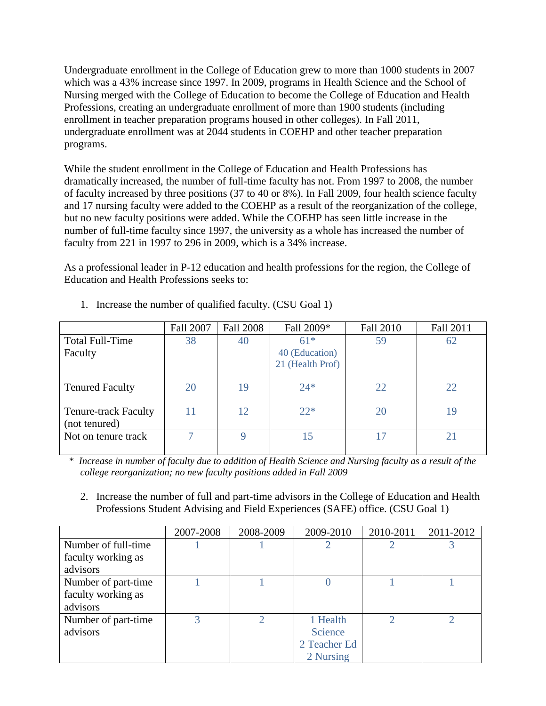Undergraduate enrollment in the College of Education grew to more than 1000 students in 2007 which was a 43% increase since 1997. In 2009, programs in Health Science and the School of Nursing merged with the College of Education to become the College of Education and Health Professions, creating an undergraduate enrollment of more than 1900 students (including enrollment in teacher preparation programs housed in other colleges). In Fall 2011, undergraduate enrollment was at 2044 students in COEHP and other teacher preparation programs.

While the student enrollment in the College of Education and Health Professions has dramatically increased, the number of full-time faculty has not. From 1997 to 2008, the number of faculty increased by three positions (37 to 40 or 8%). In Fall 2009, four health science faculty and 17 nursing faculty were added to the COEHP as a result of the reorganization of the college, but no new faculty positions were added. While the COEHP has seen little increase in the number of full-time faculty since 1997, the university as a whole has increased the number of faculty from 221 in 1997 to 296 in 2009, which is a 34% increase.

As a professional leader in P-12 education and health professions for the region, the College of Education and Health Professions seeks to:

|                                              | Fall 2007 | <b>Fall 2008</b> | Fall 2009*                                  | Fall 2010 | Fall 2011             |
|----------------------------------------------|-----------|------------------|---------------------------------------------|-----------|-----------------------|
| Total Full-Time<br>Faculty                   | 38        | 40               | $61*$<br>40 (Education)<br>21 (Health Prof) | 59        | 62                    |
| <b>Tenured Faculty</b>                       | 20        | 19               | $24*$                                       | 22        | 22                    |
| <b>Tenure-track Faculty</b><br>(not tenured) |           | 12               | $22*$                                       | 20        | 19                    |
| Not on tenure track                          |           | 9                | 15                                          | 17        | $\mathcal{D}^{\circ}$ |

1. Increase the number of qualified faculty. (CSU Goal 1)

 \* *Increase in number of faculty due to addition of Health Science and Nursing faculty as a result of the college reorganization; no new faculty positions added in Fall 2009*

2. Increase the number of full and part-time advisors in the College of Education and Health Professions Student Advising and Field Experiences (SAFE) office. (CSU Goal 1)

|                     | 2007-2008 | 2008-2009 | 2009-2010    | 2010-2011 | 2011-2012 |
|---------------------|-----------|-----------|--------------|-----------|-----------|
| Number of full-time |           |           |              |           |           |
| faculty working as  |           |           |              |           |           |
| advisors            |           |           |              |           |           |
| Number of part-time |           |           |              |           |           |
| faculty working as  |           |           |              |           |           |
| advisors            |           |           |              |           |           |
| Number of part-time | 3         |           | 1 Health     |           |           |
| advisors            |           |           | Science      |           |           |
|                     |           |           | 2 Teacher Ed |           |           |
|                     |           |           | 2 Nursing    |           |           |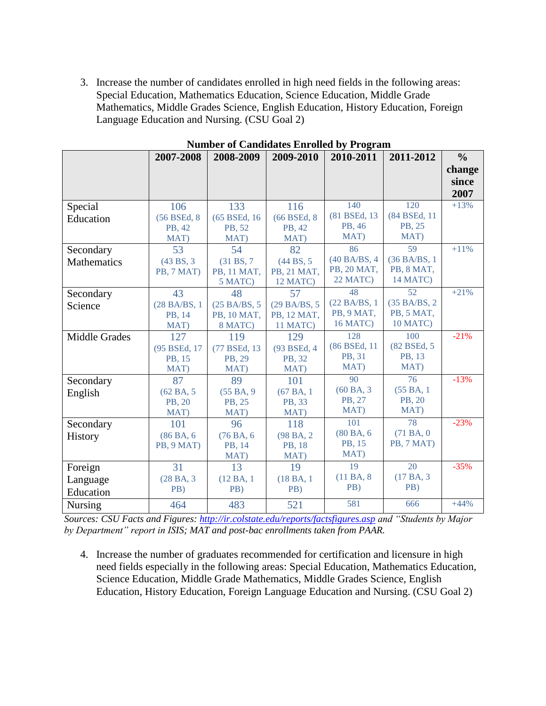3. Increase the number of candidates enrolled in high need fields in the following areas: Special Education, Mathematics Education, Science Education, Middle Grade Mathematics, Middle Grades Science, English Education, History Education, Foreign Language Education and Nursing. (CSU Goal 2)

|                    |               | rumber or candidates Embreu by Frogram |                         |               |               |               |
|--------------------|---------------|----------------------------------------|-------------------------|---------------|---------------|---------------|
|                    | 2007-2008     | 2008-2009                              | 2009-2010               | 2010-2011     | 2011-2012     | $\frac{0}{0}$ |
|                    |               |                                        |                         |               |               | change        |
|                    |               |                                        |                         |               |               | since         |
|                    |               |                                        |                         |               |               | 2007          |
|                    |               |                                        |                         |               |               |               |
| Special            | 106           | 133                                    | 116                     | 140           | 120           | $+13%$        |
| Education          | (56 BSEd, 8)  | (65 BSEd, 16)                          | (66 BSEd, 8)            | (81 BSEd, 13) | (84 BSEd, 11) |               |
|                    | PB, 42        | PB, 52                                 | PB, 42                  | PB, 46        | PB, 25        |               |
|                    | MAT)          | MAT)                                   | MAT)                    | MAT)          | MAT)          |               |
| Secondary          | 53            | 54                                     | 82                      | 86            | 59            | $+11%$        |
| <b>Mathematics</b> | (43 BS, 3)    | (31 B.S. 7)                            | (44 B <sub>S</sub> , 5) | (40 BA/BS, 4) | (36 BA/BS, 1) |               |
|                    | PB, 7 MAT)    | PB, 11 MAT,                            | PB, 21 MAT,             | PB, 20 MAT,   | PB, 8 MAT,    |               |
|                    |               | 5 MATC)                                | 12 MATC)                | 22 MATC)      | 14 MATC)      |               |
| Secondary          | 43            | 48                                     | 57                      | 48            | 52            | $+21%$        |
| Science            | (28 BA/BS, 1) | (25 BA/BS, 5                           | (29 BA/BS, 5            | (22 BA/BS, 1) | (35 BA/BS, 2) |               |
|                    | PB, 14        | PB, 10 MAT,                            | PB, 12 MAT,             | PB, 9 MAT,    | PB, 5 MAT,    |               |
|                    | MAT)          | 8 MATC)                                | 11 MATC)                | 16 MATC)      | 10 MATC)      |               |
| Middle Grades      | 127           | 119                                    | 129                     | 128           | 100           | $-21%$        |
|                    | (95 BSEd, 17  | (77 BSEd, 13)                          | (93 BSEd, 4             | (86 BSEd, 11) | (82 BSEd, 5)  |               |
|                    | PB, 15        | PB, 29                                 | PB, 32                  | PB, 31        | PB, 13        |               |
|                    | MAT)          | MAT)                                   | MAT)                    | MAT)          | MAT)          |               |
| Secondary          | 87            | 89                                     | 101                     | 90            | 76            | $-13%$        |
| English            | (62 BA, 5)    | (55BA, 9)                              | (67BA, 1                | (60BA, 3)     | (55 BA, 1     |               |
|                    | PB, 20        | PB, 25                                 | PB, 33                  | PB, 27        | PB, 20        |               |
|                    | MAT)          | MAT)                                   | MAT)                    | MAT)          | MAT)          |               |
| Secondary          | 101           | 96                                     | 118                     | 101           | 78            | $-23%$        |
| <b>History</b>     | (86 BA, 6     | (76 BA, 6)                             | (98 BA, 2)              | (80 BA, 6)    | (71BA, 0)     |               |
|                    | PB, 9 MAT)    | PB, 14                                 | PB, 18                  | PB, 15        | PB, 7 MAT)    |               |
|                    |               | MAT)                                   | MAT)                    | MAT)          |               |               |
| Foreign            | 31            | 13                                     | 19                      | 19            | 20            | $-35%$        |
| Language           | (28 BA, 3)    | (12 BA, 1)                             | (18 BA, 1               | (11BA, 8      | (17BA, 3)     |               |
| Education          | PB)           | PB)                                    | PB)                     | PB)           | PB)           |               |
| <b>Nursing</b>     | 464           | 483                                    | 521                     | 581           | 666           | $+44%$        |
|                    |               |                                        |                         |               |               |               |

**Number of Candidates Enrolled by Program**

*Sources: CSU Facts and Figures:<http://ir.colstate.edu/reports/factsfigures.asp> and "Students by Major by Department" report in ISIS; MAT and post-bac enrollments taken from PAAR.*

4. Increase the number of graduates recommended for certification and licensure in high need fields especially in the following areas: Special Education, Mathematics Education, Science Education, Middle Grade Mathematics, Middle Grades Science, English Education, History Education, Foreign Language Education and Nursing. (CSU Goal 2)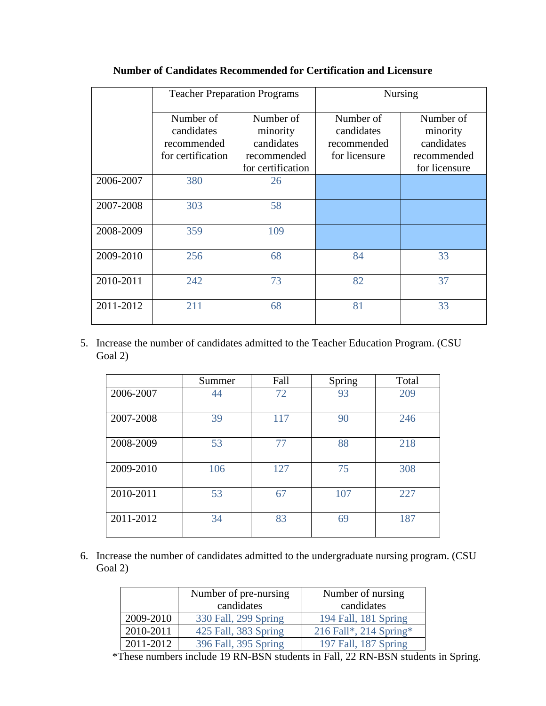|           | <b>Teacher Preparation Programs</b>                         |                                                                         | <b>Nursing</b>                                          |                                                                     |  |
|-----------|-------------------------------------------------------------|-------------------------------------------------------------------------|---------------------------------------------------------|---------------------------------------------------------------------|--|
|           | Number of<br>candidates<br>recommended<br>for certification | Number of<br>minority<br>candidates<br>recommended<br>for certification | Number of<br>candidates<br>recommended<br>for licensure | Number of<br>minority<br>candidates<br>recommended<br>for licensure |  |
| 2006-2007 | 380                                                         | 26                                                                      |                                                         |                                                                     |  |
| 2007-2008 | 303                                                         | 58                                                                      |                                                         |                                                                     |  |
| 2008-2009 | 359                                                         | 109                                                                     |                                                         |                                                                     |  |
| 2009-2010 | 256                                                         | 68                                                                      | 84                                                      | 33                                                                  |  |
| 2010-2011 | 242                                                         | 73                                                                      | 82                                                      | 37                                                                  |  |
| 2011-2012 | 211                                                         | 68                                                                      | 81                                                      | 33                                                                  |  |

# **Number of Candidates Recommended for Certification and Licensure**

5. Increase the number of candidates admitted to the Teacher Education Program. (CSU Goal 2)

|           | Summer | Fall | Spring | Total |
|-----------|--------|------|--------|-------|
| 2006-2007 | 44     | 72   | 93     | 209   |
| 2007-2008 | 39     | 117  | 90     | 246   |
| 2008-2009 | 53     | 77   | 88     | 218   |
| 2009-2010 | 106    | 127  | 75     | 308   |
| 2010-2011 | 53     | 67   | 107    | 227   |
| 2011-2012 | 34     | 83   | 69     | 187   |

6. Increase the number of candidates admitted to the undergraduate nursing program. (CSU Goal 2)

|           | Number of pre-nursing | Number of nursing      |
|-----------|-----------------------|------------------------|
|           | candidates            | candidates             |
| 2009-2010 | 330 Fall, 299 Spring  | 194 Fall, 181 Spring   |
| 2010-2011 | 425 Fall, 383 Spring  | 216 Fall*, 214 Spring* |
| 2011-2012 | 396 Fall, 395 Spring  | 197 Fall, 187 Spring   |

\*These numbers include 19 RN-BSN students in Fall, 22 RN-BSN students in Spring.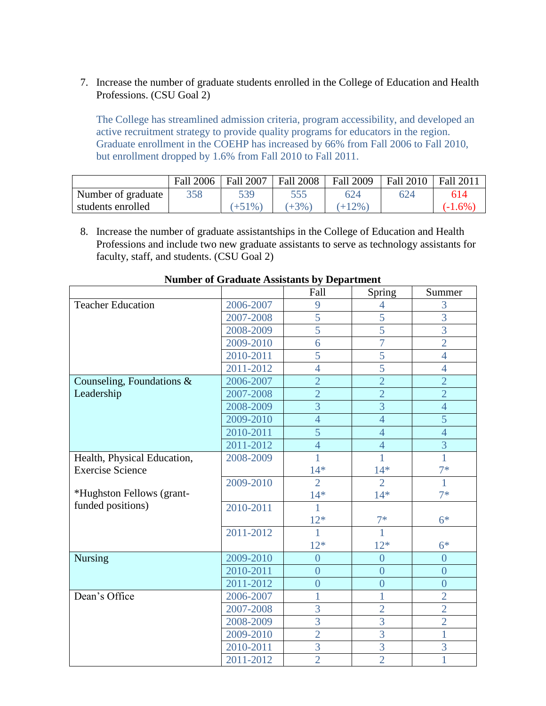7. Increase the number of graduate students enrolled in the College of Education and Health Professions. (CSU Goal 2)

The College has streamlined admission criteria, program accessibility, and developed an active recruitment strategy to provide quality programs for educators in the region. Graduate enrollment in the COEHP has increased by 66% from Fall 2006 to Fall 2010, but enrollment dropped by 1.6% from Fall 2010 to Fall 2011.

|                    | Fall 2006 | Fall 2007 | <b>Fall 2008</b> | <b>Fall 2009</b> | Fall 2010   Fall 2011 |            |
|--------------------|-----------|-----------|------------------|------------------|-----------------------|------------|
| Number of graduate | 358       | 539       |                  | 624              | 624                   | 614        |
| students enrolled  |           | $(+51\%)$ | $(+3%)$          | $(+12\%)$        |                       | $(-1.6\%)$ |

8. Increase the number of graduate assistantships in the College of Education and Health Professions and include two new graduate assistants to serve as technology assistants for faculty, staff, and students. (CSU Goal 2)

|                             |           | Fall           | Spring         | Summer         |
|-----------------------------|-----------|----------------|----------------|----------------|
| <b>Teacher Education</b>    | 2006-2007 | 9              | 4              | 3              |
|                             | 2007-2008 | 5              | 5              | 3              |
|                             | 2008-2009 | 5              | $\overline{5}$ | 3              |
|                             | 2009-2010 | 6              | $\overline{7}$ | $\overline{2}$ |
|                             | 2010-2011 | $\overline{5}$ | 5              | $\overline{4}$ |
|                             | 2011-2012 | $\overline{4}$ | $\overline{5}$ | $\overline{4}$ |
| Counseling, Foundations &   | 2006-2007 | $\overline{2}$ | $\overline{2}$ | $\overline{2}$ |
| Leadership                  | 2007-2008 | $\overline{2}$ | $\overline{2}$ | $\overline{2}$ |
|                             | 2008-2009 | $\overline{3}$ | 3              | $\overline{4}$ |
|                             | 2009-2010 | $\overline{4}$ | $\overline{4}$ | 5              |
|                             | 2010-2011 | 5              | $\overline{4}$ | $\overline{4}$ |
|                             | 2011-2012 | $\overline{4}$ | $\overline{4}$ | $\overline{3}$ |
| Health, Physical Education, | 2008-2009 | 1              | 1              | 1              |
| <b>Exercise Science</b>     |           | $14*$          | $14*$          | $7*$           |
|                             | 2009-2010 | $\overline{2}$ | $\overline{2}$ | 1              |
| *Hughston Fellows (grant-   |           | $14*$          | $14*$          | $7*$           |
| funded positions)           | 2010-2011 | 1              |                |                |
|                             |           | $12*$          | $7*$           | $6*$           |
|                             | 2011-2012 | $\overline{1}$ | $\overline{1}$ |                |
|                             |           | $12*$          | $12*$          | $6*$           |
| <b>Nursing</b>              | 2009-2010 | $\overline{0}$ | $\overline{0}$ | $\overline{0}$ |
|                             | 2010-2011 | $\overline{0}$ | $\overline{0}$ | $\overline{0}$ |
|                             | 2011-2012 | $\overline{0}$ | $\overline{0}$ | $\overline{0}$ |
| Dean's Office               | 2006-2007 | 1              | 1              | $\overline{2}$ |
|                             | 2007-2008 | 3              | $\overline{2}$ | $\overline{2}$ |
|                             | 2008-2009 | $\overline{3}$ | 3              | $\overline{2}$ |
|                             | 2009-2010 | $\overline{2}$ | 3              | 1              |
|                             | 2010-2011 | $\overline{3}$ | 3              | 3              |
|                             | 2011-2012 | $\overline{2}$ | $\overline{2}$ | 1              |

#### **Number of Graduate Assistants by Department**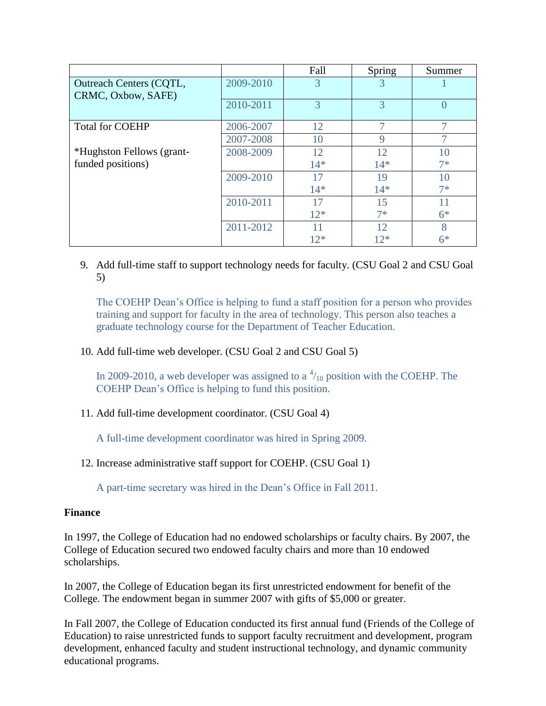|                                                      |           | Fall  | Spring | Summer |
|------------------------------------------------------|-----------|-------|--------|--------|
| <b>Outreach Centers (CQTL,</b><br>CRMC, Oxbow, SAFE) | 2009-2010 | 3     | 3      |        |
|                                                      | 2010-2011 | 3     | 3      |        |
| <b>Total for COEHP</b>                               | 2006-2007 | 12    |        |        |
|                                                      | 2007-2008 | 10    | 9      |        |
| *Hughston Fellows (grant-                            | 2008-2009 | 12    | 12     | 10     |
| funded positions)                                    |           | $14*$ | $14*$  | $7*$   |
|                                                      | 2009-2010 | 17    | 19     | 10     |
|                                                      |           | $14*$ | $14*$  | $7*$   |
|                                                      | 2010-2011 | 17    | 15     | 11     |
|                                                      |           | $12*$ | $7*$   | $6*$   |
|                                                      | 2011-2012 | 11    | 12     | 8      |
|                                                      |           | $12*$ | $12*$  | $6*$   |

9. Add full-time staff to support technology needs for faculty. (CSU Goal 2 and CSU Goal 5)

The COEHP Dean's Office is helping to fund a staff position for a person who provides training and support for faculty in the area of technology. This person also teaches a graduate technology course for the Department of Teacher Education.

# 10. Add full-time web developer. (CSU Goal 2 and CSU Goal 5)

In 2009-2010, a web developer was assigned to a  $\frac{4}{10}$  position with the COEHP. The COEHP Dean's Office is helping to fund this position.

11. Add full-time development coordinator. (CSU Goal 4)

A full-time development coordinator was hired in Spring 2009.

12. Increase administrative staff support for COEHP. (CSU Goal 1)

A part-time secretary was hired in the Dean's Office in Fall 2011.

# **Finance**

In 1997, the College of Education had no endowed scholarships or faculty chairs. By 2007, the College of Education secured two endowed faculty chairs and more than 10 endowed scholarships.

In 2007, the College of Education began its first unrestricted endowment for benefit of the College. The endowment began in summer 2007 with gifts of \$5,000 or greater.

In Fall 2007, the College of Education conducted its first annual fund (Friends of the College of Education) to raise unrestricted funds to support faculty recruitment and development, program development, enhanced faculty and student instructional technology, and dynamic community educational programs.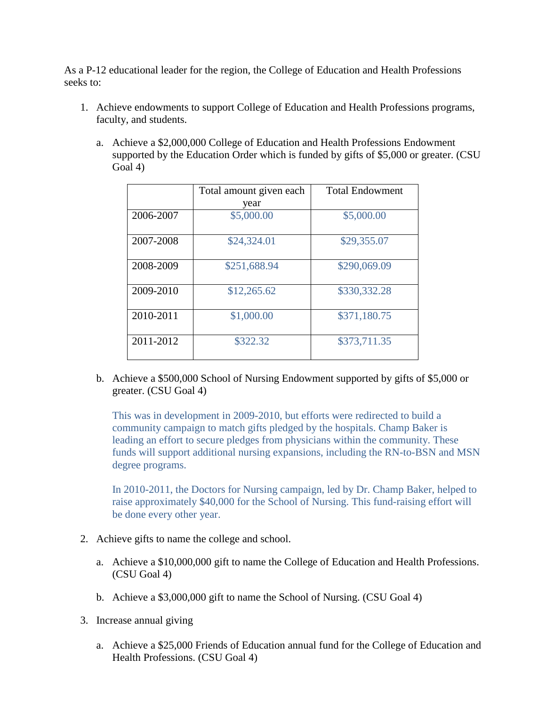As a P-12 educational leader for the region, the College of Education and Health Professions seeks to:

- 1. Achieve endowments to support College of Education and Health Professions programs, faculty, and students.
	- a. Achieve a \$2,000,000 College of Education and Health Professions Endowment supported by the Education Order which is funded by gifts of \$5,000 or greater. (CSU Goal 4)

|           | Total amount given each | <b>Total Endowment</b> |
|-----------|-------------------------|------------------------|
|           | year                    |                        |
| 2006-2007 | \$5,000.00              | \$5,000.00             |
| 2007-2008 | \$24,324.01             | \$29,355.07            |
| 2008-2009 | \$251,688.94            | \$290,069.09           |
| 2009-2010 | \$12,265.62             | \$330,332.28           |
| 2010-2011 | \$1,000.00              | \$371,180.75           |
| 2011-2012 | \$322.32                | \$373,711.35           |

b. Achieve a \$500,000 School of Nursing Endowment supported by gifts of \$5,000 or greater. (CSU Goal 4)

This was in development in 2009-2010, but efforts were redirected to build a community campaign to match gifts pledged by the hospitals. Champ Baker is leading an effort to secure pledges from physicians within the community. These funds will support additional nursing expansions, including the RN-to-BSN and MSN degree programs.

In 2010-2011, the Doctors for Nursing campaign, led by Dr. Champ Baker, helped to raise approximately \$40,000 for the School of Nursing. This fund-raising effort will be done every other year.

- 2. Achieve gifts to name the college and school.
	- a. Achieve a \$10,000,000 gift to name the College of Education and Health Professions. (CSU Goal 4)
	- b. Achieve a \$3,000,000 gift to name the School of Nursing. (CSU Goal 4)
- 3. Increase annual giving
	- a. Achieve a \$25,000 Friends of Education annual fund for the College of Education and Health Professions. (CSU Goal 4)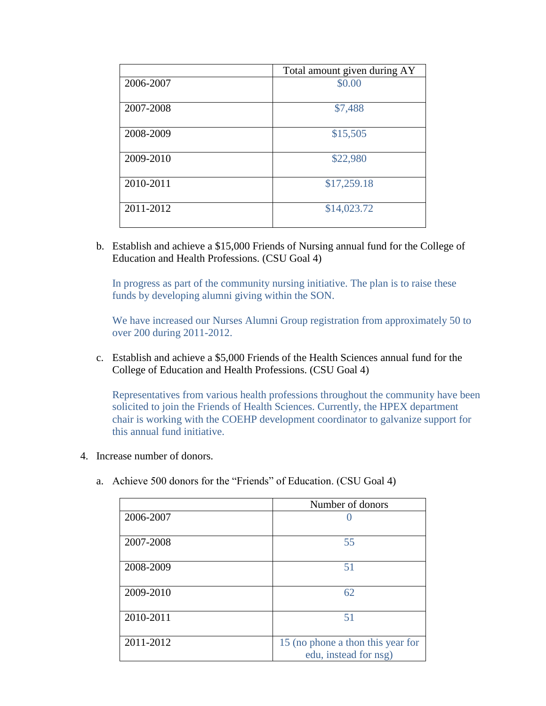|           | Total amount given during AY |
|-----------|------------------------------|
| 2006-2007 | \$0.00                       |
| 2007-2008 | \$7,488                      |
| 2008-2009 | \$15,505                     |
| 2009-2010 | \$22,980                     |
| 2010-2011 | \$17,259.18                  |
| 2011-2012 | \$14,023.72                  |

b. Establish and achieve a \$15,000 Friends of Nursing annual fund for the College of Education and Health Professions. (CSU Goal 4)

In progress as part of the community nursing initiative. The plan is to raise these funds by developing alumni giving within the SON.

We have increased our Nurses Alumni Group registration from approximately 50 to over 200 during 2011-2012.

c. Establish and achieve a \$5,000 Friends of the Health Sciences annual fund for the College of Education and Health Professions. (CSU Goal 4)

Representatives from various health professions throughout the community have been solicited to join the Friends of Health Sciences. Currently, the HPEX department chair is working with the COEHP development coordinator to galvanize support for this annual fund initiative.

- 4. Increase number of donors.
	- a. Achieve 500 donors for the "Friends" of Education. (CSU Goal 4)

|           | Number of donors                                           |
|-----------|------------------------------------------------------------|
| 2006-2007 |                                                            |
| 2007-2008 | 55                                                         |
| 2008-2009 | 51                                                         |
| 2009-2010 | 62                                                         |
| 2010-2011 | 51                                                         |
| 2011-2012 | 15 (no phone a thon this year for<br>edu, instead for nsg) |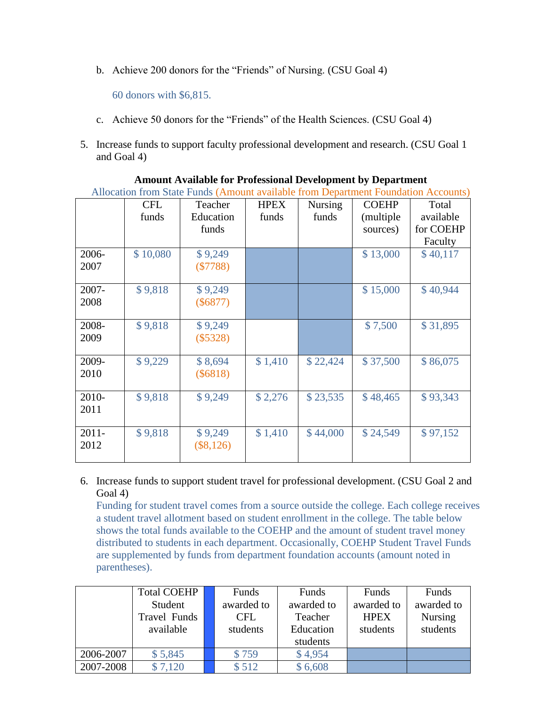b. Achieve 200 donors for the "Friends" of Nursing. (CSU Goal 4)

60 donors with \$6,815.

- c. Achieve 50 donors for the "Friends" of the Health Sciences. (CSU Goal 4)
- 5. Increase funds to support faculty professional development and research. (CSU Goal 1 and Goal 4)

|          | Allocation from State Funds (Amount available from Department Foundation Accounts) |             |             |                |              |           |  |  |
|----------|------------------------------------------------------------------------------------|-------------|-------------|----------------|--------------|-----------|--|--|
|          | <b>CFL</b>                                                                         | Teacher     | <b>HPEX</b> | <b>Nursing</b> | <b>COEHP</b> | Total     |  |  |
|          | funds                                                                              | Education   | funds       | funds          | (multiple    | available |  |  |
|          |                                                                                    | funds       |             |                | sources)     | for COEHP |  |  |
|          |                                                                                    |             |             |                |              | Faculty   |  |  |
| 2006-    | \$10,080                                                                           | \$9,249     |             |                | \$13,000     | \$40,117  |  |  |
| 2007     |                                                                                    | (\$7788)    |             |                |              |           |  |  |
|          |                                                                                    |             |             |                |              |           |  |  |
| 2007-    | \$9,818                                                                            | \$9,249     |             |                | \$15,000     | \$40,944  |  |  |
| 2008     |                                                                                    | $(\$6877)$  |             |                |              |           |  |  |
|          |                                                                                    |             |             |                |              |           |  |  |
| 2008-    | \$9,818                                                                            | \$9,249     |             |                | \$7,500      | \$31,895  |  |  |
| 2009     |                                                                                    | $(\$5328)$  |             |                |              |           |  |  |
|          |                                                                                    |             |             |                |              |           |  |  |
| 2009-    | \$9,229                                                                            | \$8,694     | \$1,410     | \$22,424       | \$37,500     | \$86,075  |  |  |
| 2010     |                                                                                    | $(\$6818)$  |             |                |              |           |  |  |
|          |                                                                                    |             |             |                |              |           |  |  |
| 2010-    | \$9,818                                                                            | \$9,249     | \$2,276     | \$23,535       | \$48,465     | \$93,343  |  |  |
| 2011     |                                                                                    |             |             |                |              |           |  |  |
|          |                                                                                    |             |             |                |              |           |  |  |
| $2011 -$ | \$9,818                                                                            | \$9,249     | \$1,410     | \$44,000       | \$24,549     | \$97,152  |  |  |
| 2012     |                                                                                    | $(\$8,126)$ |             |                |              |           |  |  |
|          |                                                                                    |             |             |                |              |           |  |  |

| <b>Amount Available for Professional Development by Department</b>                                        |  |
|-----------------------------------------------------------------------------------------------------------|--|
| $\Lambda$ decetion from State Funds (Amount evolutely from Department Foundation $\Lambda_{\alpha\alpha}$ |  |

6. Increase funds to support student travel for professional development. (CSU Goal 2 and Goal 4)

Funding for student travel comes from a source outside the college. Each college receives a student travel allotment based on student enrollment in the college. The table below shows the total funds available to the COEHP and the amount of student travel money distributed to students in each department. Occasionally, COEHP Student Travel Funds are supplemented by funds from department foundation accounts (amount noted in parentheses).

|           | <b>Total COEHP</b> | Funds      | Funds      | Funds       | Funds          |
|-----------|--------------------|------------|------------|-------------|----------------|
|           | Student            | awarded to | awarded to | awarded to  | awarded to     |
|           | Travel Funds       | CFL.       | Teacher    | <b>HPEX</b> | <b>Nursing</b> |
|           | available          | students   | Education  | students    | students       |
|           |                    |            | students   |             |                |
| 2006-2007 | \$5,845            | \$759      | \$4,954    |             |                |
| 2007-2008 | \$7,120            | \$512      | \$6,608    |             |                |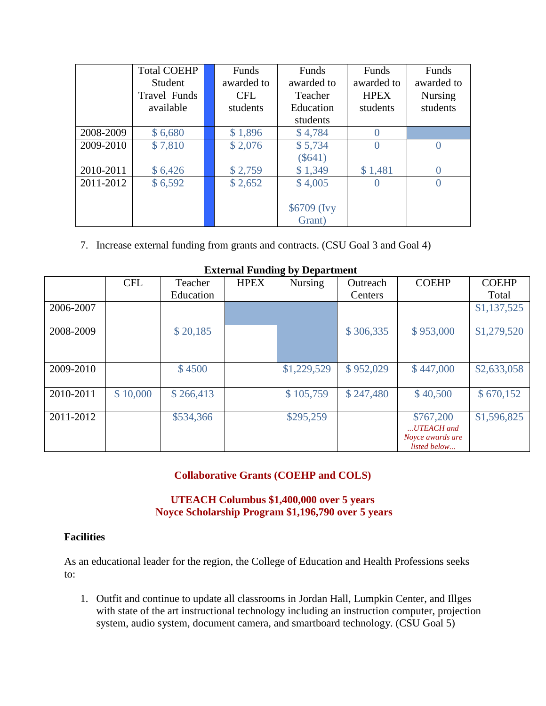|           | <b>Total COEHP</b><br>Student | Funds<br>awarded to | Funds<br>awarded to | Funds<br>awarded to | Funds<br>awarded to |
|-----------|-------------------------------|---------------------|---------------------|---------------------|---------------------|
|           | <b>Travel Funds</b>           | <b>CFL</b>          | Teacher             | <b>HPEX</b>         | <b>Nursing</b>      |
|           | available                     | students            | Education           | students            | students            |
|           |                               |                     | students            |                     |                     |
| 2008-2009 | \$6,680                       | \$1,896             | \$4,784             |                     |                     |
| 2009-2010 | \$7,810                       | \$2,076             | \$5,734             |                     |                     |
|           |                               |                     | $(\$641)$           |                     |                     |
| 2010-2011 | \$6,426                       | \$2,759             | \$1,349             | \$1,481             |                     |
| 2011-2012 | \$6,592                       | \$2,652             | \$4,005             | O                   |                     |
|           |                               |                     |                     |                     |                     |
|           |                               |                     | \$6709 (Ivy         |                     |                     |
|           |                               |                     | Grant)              |                     |                     |

7. Increase external funding from grants and contracts. (CSU Goal 3 and Goal 4)

| <b>EXIGENCE F GRUPS</b> by Department |            |           |             |                |           |                                                             |              |  |  |
|---------------------------------------|------------|-----------|-------------|----------------|-----------|-------------------------------------------------------------|--------------|--|--|
|                                       | <b>CFL</b> | Teacher   | <b>HPEX</b> | <b>Nursing</b> | Outreach  | <b>COEHP</b>                                                | <b>COEHP</b> |  |  |
|                                       |            | Education |             |                | Centers   |                                                             | Total        |  |  |
| 2006-2007                             |            |           |             |                |           |                                                             | \$1,137,525  |  |  |
| 2008-2009                             |            | \$20,185  |             |                | \$306,335 | \$953,000                                                   | \$1,279,520  |  |  |
| 2009-2010                             |            | \$4500    |             | \$1,229,529    | \$952,029 | \$447,000                                                   | \$2,633,058  |  |  |
| 2010-2011                             | \$10,000   | \$266,413 |             | \$105,759      | \$247,480 | \$40,500                                                    | \$670,152    |  |  |
| 2011-2012                             |            | \$534,366 |             | \$295,259      |           | \$767,200<br>UTEACH and<br>Noyce awards are<br>listed below | \$1,596,825  |  |  |

#### **External Funding by Department**

# **Collaborative Grants (COEHP and COLS)**

# **UTEACH Columbus \$1,400,000 over 5 years Noyce Scholarship Program \$1,196,790 over 5 years**

#### **Facilities**

As an educational leader for the region, the College of Education and Health Professions seeks to:

1. Outfit and continue to update all classrooms in Jordan Hall, Lumpkin Center, and Illges with state of the art instructional technology including an instruction computer, projection system, audio system, document camera, and smartboard technology. (CSU Goal 5)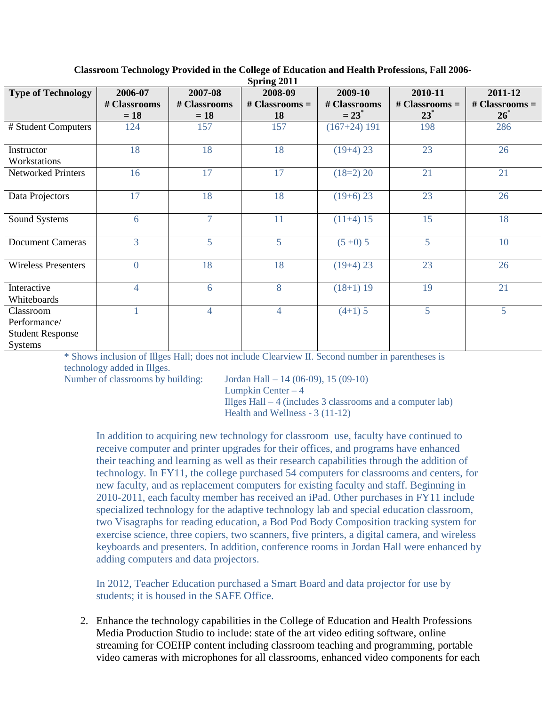| $\beta$ pring $2011$                                                   |                |                |                  |                |                  |                  |  |  |  |  |
|------------------------------------------------------------------------|----------------|----------------|------------------|----------------|------------------|------------------|--|--|--|--|
| <b>Type of Technology</b>                                              | 2006-07        | 2007-08        | 2008-09          | 2009-10        | 2010-11          | 2011-12          |  |  |  |  |
|                                                                        | # Classrooms   | # Classrooms   | # Classrooms $=$ | # Classrooms   | # Classrooms $=$ | $# Classrooms =$ |  |  |  |  |
|                                                                        | $= 18$         | $= 18$         | 18               | $= 23^*$       | $23^*$           | $26^*$           |  |  |  |  |
| # Student Computers                                                    | 124            | 157            | 157              | $(167+24)$ 191 | 198              | 286              |  |  |  |  |
| Instructor                                                             | 18             | 18             | 18               | $(19+4)$ 23    | 23               | 26               |  |  |  |  |
| Workstations                                                           |                |                |                  |                |                  |                  |  |  |  |  |
| <b>Networked Printers</b>                                              | 16             | 17             | 17               | $(18=2)$ 20    | 21               | 21               |  |  |  |  |
| Data Projectors                                                        | 17             | 18             | 18               | $(19+6)$ 23    | 23               | 26               |  |  |  |  |
| Sound Systems                                                          | 6              | $\overline{7}$ | 11               | $(11+4)$ 15    | 15               | 18               |  |  |  |  |
| <b>Document Cameras</b>                                                | 3              | 5              | 5                | $(5+0)$ 5      | 5                | 10               |  |  |  |  |
| <b>Wireless Presenters</b>                                             | $\overline{0}$ | 18             | 18               | $(19+4)$ 23    | 23               | 26               |  |  |  |  |
| Interactive<br>Whiteboards                                             | $\overline{4}$ | 6              | 8                | $(18+1)$ 19    | 19               | 21               |  |  |  |  |
| Classroom<br>Performance/<br><b>Student Response</b><br><b>Systems</b> |                | $\overline{4}$ | $\overline{4}$   | $(4+1)$ 5      | 5                | $5\overline{)}$  |  |  |  |  |

**Classroom Technology Provided in the College of Education and Health Professions, Fall 2006- Spring 2011**

\* Shows inclusion of Illges Hall; does not include Clearview II. Second number in parentheses is technology added in Illges.

Number of classrooms by building: Jordan Hall – 14 (06-09), 15 (09-10) Lumpkin Center  $-4$ Illges Hall – 4 (includes 3 classrooms and a computer lab) Health and Wellness - 3 (11-12)

In addition to acquiring new technology for classroom use, faculty have continued to receive computer and printer upgrades for their offices, and programs have enhanced their teaching and learning as well as their research capabilities through the addition of technology. In FY11, the college purchased 54 computers for classrooms and centers, for new faculty, and as replacement computers for existing faculty and staff. Beginning in 2010-2011, each faculty member has received an iPad. Other purchases in FY11 include specialized technology for the adaptive technology lab and special education classroom, two Visagraphs for reading education, a Bod Pod Body Composition tracking system for exercise science, three copiers, two scanners, five printers, a digital camera, and wireless keyboards and presenters. In addition, conference rooms in Jordan Hall were enhanced by adding computers and data projectors.

In 2012, Teacher Education purchased a Smart Board and data projector for use by students; it is housed in the SAFE Office.

2. Enhance the technology capabilities in the College of Education and Health Professions Media Production Studio to include: state of the art video editing software, online streaming for COEHP content including classroom teaching and programming, portable video cameras with microphones for all classrooms, enhanced video components for each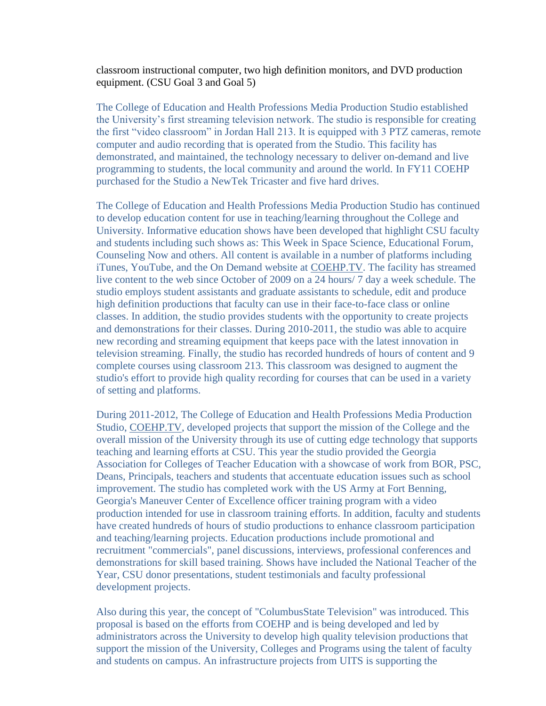classroom instructional computer, two high definition monitors, and DVD production equipment. (CSU Goal 3 and Goal 5)

The College of Education and Health Professions Media Production Studio established the University's first streaming television network. The studio is responsible for creating the first "video classroom" in Jordan Hall 213. It is equipped with 3 PTZ cameras, remote computer and audio recording that is operated from the Studio. This facility has demonstrated, and maintained, the technology necessary to deliver on-demand and live programming to students, the local community and around the world. In FY11 COEHP purchased for the Studio a NewTek Tricaster and five hard drives.

The College of Education and Health Professions Media Production Studio has continued to develop education content for use in teaching/learning throughout the College and University. Informative education shows have been developed that highlight CSU faculty and students including such shows as: This Week in Space Science, Educational Forum, Counseling Now and others. All content is available in a number of platforms including iTunes, YouTube, and the On Demand website at [COEHP.TV.](http://coehp.tv/) The facility has streamed live content to the web since October of 2009 on a 24 hours/ 7 day a week schedule. The studio employs student assistants and graduate assistants to schedule, edit and produce high definition productions that faculty can use in their face-to-face class or online classes. In addition, the studio provides students with the opportunity to create projects and demonstrations for their classes. During 2010-2011, the studio was able to acquire new recording and streaming equipment that keeps pace with the latest innovation in television streaming. Finally, the studio has recorded hundreds of hours of content and 9 complete courses using classroom 213. This classroom was designed to augment the studio's effort to provide high quality recording for courses that can be used in a variety of setting and platforms.

During 2011-2012, The College of Education and Health Professions Media Production Studio, [COEHP.TV,](http://coehp.tv/) developed projects that support the mission of the College and the overall mission of the University through its use of cutting edge technology that supports teaching and learning efforts at CSU. This year the studio provided the Georgia Association for Colleges of Teacher Education with a showcase of work from BOR, PSC, Deans, Principals, teachers and students that accentuate education issues such as school improvement. The studio has completed work with the US Army at Fort Benning, Georgia's Maneuver Center of Excellence officer training program with a video production intended for use in classroom training efforts. In addition, faculty and students have created hundreds of hours of studio productions to enhance classroom participation and teaching/learning projects. Education productions include promotional and recruitment "commercials", panel discussions, interviews, professional conferences and demonstrations for skill based training. Shows have included the National Teacher of the Year, CSU donor presentations, student testimonials and faculty professional development projects.

Also during this year, the concept of "ColumbusState Television" was introduced. This proposal is based on the efforts from COEHP and is being developed and led by administrators across the University to develop high quality television productions that support the mission of the University, Colleges and Programs using the talent of faculty and students on campus. An infrastructure projects from UITS is supporting the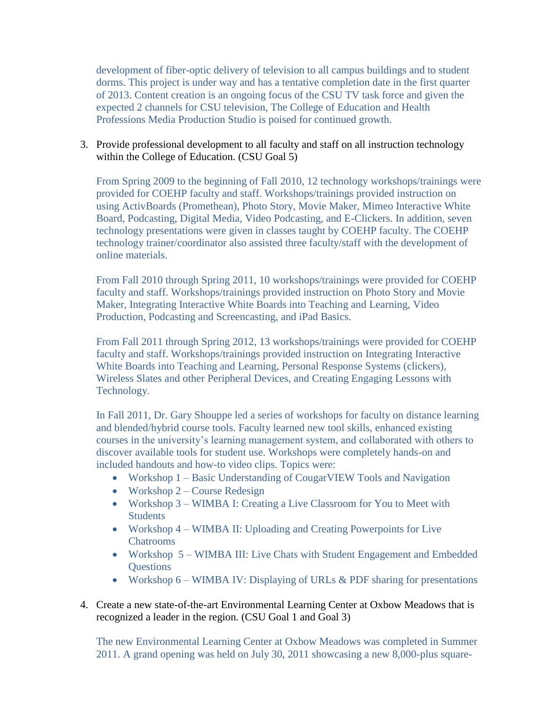development of fiber-optic delivery of television to all campus buildings and to student dorms. This project is under way and has a tentative completion date in the first quarter of 2013. Content creation is an ongoing focus of the CSU TV task force and given the expected 2 channels for CSU television, The College of Education and Health Professions Media Production Studio is poised for continued growth.

#### 3. Provide professional development to all faculty and staff on all instruction technology within the College of Education. (CSU Goal 5)

From Spring 2009 to the beginning of Fall 2010, 12 technology workshops/trainings were provided for COEHP faculty and staff. Workshops/trainings provided instruction on using ActivBoards (Promethean), Photo Story, Movie Maker, Mimeo Interactive White Board, Podcasting, Digital Media, Video Podcasting, and E-Clickers. In addition, seven technology presentations were given in classes taught by COEHP faculty. The COEHP technology trainer/coordinator also assisted three faculty/staff with the development of online materials.

From Fall 2010 through Spring 2011, 10 workshops/trainings were provided for COEHP faculty and staff. Workshops/trainings provided instruction on Photo Story and Movie Maker, Integrating Interactive White Boards into Teaching and Learning, Video Production, Podcasting and Screencasting, and iPad Basics.

From Fall 2011 through Spring 2012, 13 workshops/trainings were provided for COEHP faculty and staff. Workshops/trainings provided instruction on Integrating Interactive White Boards into Teaching and Learning, Personal Response Systems (clickers), Wireless Slates and other Peripheral Devices, and Creating Engaging Lessons with Technology.

In Fall 2011, Dr. Gary Shouppe led a series of workshops for faculty on distance learning and blended/hybrid course tools. Faculty learned new tool skills, enhanced existing courses in the university's learning management system, and collaborated with others to discover available tools for student use. Workshops were completely hands-on and included handouts and how-to video clips. Topics were:

- Workshop 1 Basic Understanding of CougarVIEW Tools and Navigation
- Workshop  $2$  Course Redesign
- Workshop 3 WIMBA I: Creating a Live Classroom for You to Meet with Students
- Workshop 4 WIMBA II: Uploading and Creating Powerpoints for Live Chatrooms
- Workshop 5 WIMBA III: Live Chats with Student Engagement and Embedded **Questions**
- Workshop  $6 -$  WIMBA IV: Displaying of URLs  $\&$  PDF sharing for presentations
- 4. Create a new state-of-the-art Environmental Learning Center at Oxbow Meadows that is recognized a leader in the region. (CSU Goal 1 and Goal 3)

The new Environmental Learning Center at Oxbow Meadows was completed in Summer 2011. A grand opening was held on July 30, 2011 showcasing a new 8,000-plus square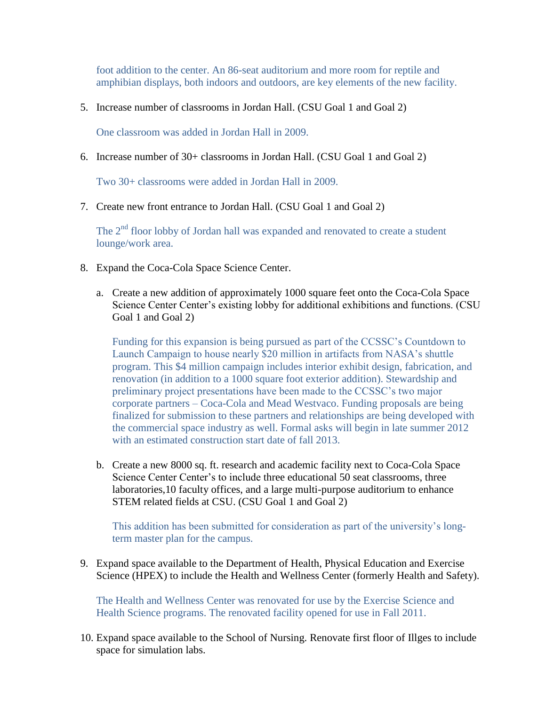foot addition to the center. An 86-seat auditorium and more room for reptile and amphibian displays, both indoors and outdoors, are key elements of the new facility.

5. Increase number of classrooms in Jordan Hall. (CSU Goal 1 and Goal 2)

One classroom was added in Jordan Hall in 2009.

6. Increase number of 30+ classrooms in Jordan Hall. (CSU Goal 1 and Goal 2)

Two 30+ classrooms were added in Jordan Hall in 2009.

7. Create new front entrance to Jordan Hall. (CSU Goal 1 and Goal 2)

The  $2<sup>nd</sup>$  floor lobby of Jordan hall was expanded and renovated to create a student lounge/work area.

- 8. Expand the Coca-Cola Space Science Center.
	- a. Create a new addition of approximately 1000 square feet onto the Coca-Cola Space Science Center Center's existing lobby for additional exhibitions and functions. (CSU Goal 1 and Goal 2)

Funding for this expansion is being pursued as part of the CCSSC's Countdown to Launch Campaign to house nearly \$20 million in artifacts from NASA's shuttle program. This \$4 million campaign includes interior exhibit design, fabrication, and renovation (in addition to a 1000 square foot exterior addition). Stewardship and preliminary project presentations have been made to the CCSSC's two major corporate partners – Coca-Cola and Mead Westvaco. Funding proposals are being finalized for submission to these partners and relationships are being developed with the commercial space industry as well. Formal asks will begin in late summer 2012 with an estimated construction start date of fall 2013.

b. Create a new 8000 sq. ft. research and academic facility next to Coca-Cola Space Science Center Center's to include three educational 50 seat classrooms, three laboratories,10 faculty offices, and a large multi-purpose auditorium to enhance STEM related fields at CSU. (CSU Goal 1 and Goal 2)

This addition has been submitted for consideration as part of the university's longterm master plan for the campus.

9. Expand space available to the Department of Health, Physical Education and Exercise Science (HPEX) to include the Health and Wellness Center (formerly Health and Safety).

The Health and Wellness Center was renovated for use by the Exercise Science and Health Science programs. The renovated facility opened for use in Fall 2011.

10. Expand space available to the School of Nursing. Renovate first floor of Illges to include space for simulation labs.